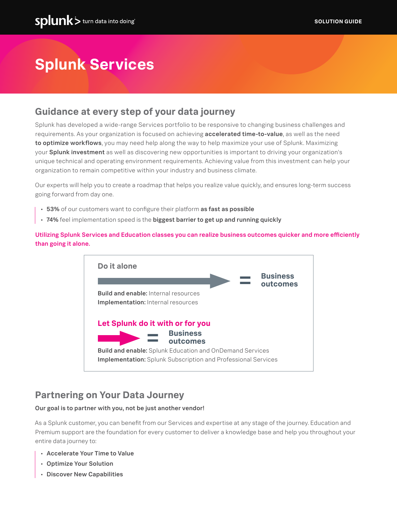# **Splunk Services**

# **Guidance at every step of your data journey**

Splunk has developed a wide-range Services portfolio to be responsive to changing business challenges and requirements. As your organization is focused on achieving accelerated time-to-value, as well as the need to optimize workflows, you may need help along the way to help maximize your use of Splunk. Maximizing your **Splunk investment** as well as discovering new opportunities is important to driving your organization's unique technical and operating environment requirements. Achieving value from this investment can help your organization to remain competitive within your industry and business climate.

Our experts will help you to create a roadmap that helps you realize value quickly, and ensures long-term success going forward from day one.

- 53% of our customers want to configure their platform as fast as possible
- 74% feel implementation speed is the biggest barrier to get up and running quickly

Utilizing Splunk Services and Education classes you can realize business outcomes quicker and more efficiently than going it alone.



# **Partnering on Your Data Journey**

## Our goal is to partner with you, not be just another vendor!

As a Splunk customer, you can benefit from our Services and expertise at any stage of the journey. Education and Premium support are the foundation for every customer to deliver a knowledge base and help you throughout your entire data journey to:

- Accelerate Your Time to Value
- Optimize Your Solution
- Discover New Capabilities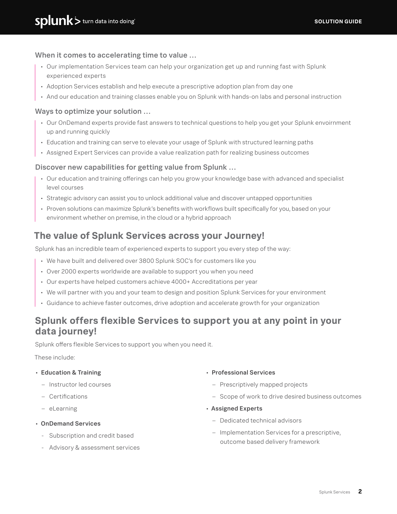## When it comes to accelerating time to value …

- Our implementation Services team can help your organization get up and running fast with Splunk experienced experts
- Adoption Services establish and help execute a prescriptive adoption plan from day one
- And our education and training classes enable you on Splunk with hands-on labs and personal instruction

## Ways to optimize your solution …

- Our OnDemand experts provide fast answers to technical questions to help you get your Splunk envoirnment up and running quickly
- Education and training can serve to elevate your usage of Splunk with structured learning paths
- Assigned Expert Services can provide a value realization path for realizing business outcomes

## Discover new capabilities for getting value from Splunk …

- Our education and training offerings can help you grow your knowledge base with advanced and specialist level courses
- Strategic advisory can assist you to unlock additional value and discover untapped opportunities
- Proven solutions can maximize Splunk's benefits with workflows built specifically for you, based on your environment whether on premise, in the cloud or a hybrid approach

## **The value of Splunk Services across your Journey!**

Splunk has an incredible team of experienced experts to support you every step of the way:

- We have built and delivered over 3800 Splunk SOC's for customers like you
- Over 2000 experts worldwide are available to support you when you need
- Our experts have helped customers achieve 4000+ Accreditations per year
- We will partner with you and your team to design and position Splunk Services for your environment
- Guidance to achieve faster outcomes, drive adoption and accelerate growth for your organization

# **Splunk offers flexible Services to support you at any point in your data journey!**

Splunk offers flexible Services to support you when you need it.

These include:

## • Education & Training

- Instructor led courses
- Certifications
- eLearning
- OnDemand Services
	- Subscription and credit based
	- Advisory & assessment services

#### • Professional Services

- Prescriptively mapped projects
- Scope of work to drive desired business outcomes
- Assigned Experts
	- Dedicated technical advisors
	- Implementation Services for a prescriptive, outcome based delivery framework